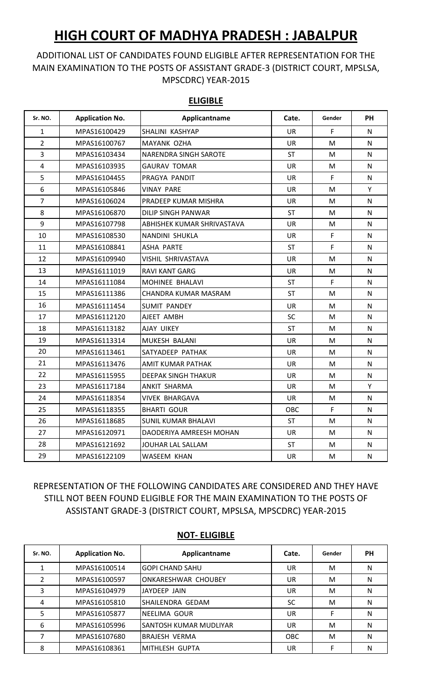## **HIGH COURT OF MADHYA PRADESH : JABALPUR**

## ADDITIONAL LIST OF CANDIDATES FOUND ELIGIBLE AFTER REPRESENTATION FOR THE MAIN EXAMINATION TO THE POSTS OF ASSISTANT GRADE-3 (DISTRICT COURT, MPSLSA, MPSCDRC) YEAR-2015

| Sr. NO.        | <b>Application No.</b> | Applicantname              | Cate.     | Gender | <b>PH</b> |
|----------------|------------------------|----------------------------|-----------|--------|-----------|
| $\mathbf{1}$   | MPAS16100429           | SHALINI KASHYAP            | <b>UR</b> | F      | N         |
| $\overline{2}$ | MPAS16100767           | MAYANK OZHA                | <b>UR</b> | м      | N         |
| 3              | MPAS16103434           | NARENDRA SINGH SAROTE      | <b>ST</b> | M      | N         |
| $\overline{4}$ | MPAS16103935           | GAURAV TOMAR               | UR.       | М      | N         |
| 5              | MPAS16104455           | PRAGYA PANDIT              | <b>UR</b> | F.     | N.        |
| 6              | MPAS16105846           | VINAY PARE                 | <b>UR</b> | M      | Y         |
| $\overline{7}$ | MPAS16106024           | PRADEEP KUMAR MISHRA       | <b>UR</b> | M      | N         |
| 8              | MPAS16106870           | DILIP SINGH PANWAR         | <b>ST</b> | M      | N         |
| 9              | MPAS16107798           | ABHISHEK KUMAR SHRIVASTAVA | <b>UR</b> | м      | N         |
| 10             | MPAS16108530           | NANDINI SHUKLA             | <b>UR</b> | F.     | N         |
| 11             | MPAS16108841           | ASHA PARTE                 | <b>ST</b> | F      | N         |
| 12             | MPAS16109940           | VISHIL SHRIVASTAVA         | <b>UR</b> | М      | N         |
| 13             | MPAS16111019           | RAVI KANT GARG             | UR.       | M      | N         |
| 14             | MPAS16111084           | <b>MOHINEE BHALAVI</b>     | <b>ST</b> | F      | N         |
| 15             | MPAS16111386           | CHANDRA KUMAR MASRAM       | <b>ST</b> | М      | N         |
| 16             | MPAS16111454           | <b>SUMIT PANDEY</b>        | <b>UR</b> | M      | N         |
| 17             | MPAS16112120           | AJEET AMBH                 | <b>SC</b> | М      | N         |
| 18             | MPAS16113182           | AJAY UIKEY                 | <b>ST</b> | M      | N         |
| 19             | MPAS16113314           | MUKESH BALANI              | UR        | м      | N         |
| 20             | MPAS16113461           | SATYADEEP PATHAK           | UR        | м      | N         |
| 21             | MPAS16113476           | AMIT KUMAR PATHAK          | <b>UR</b> | м      | N         |
| 22             | MPAS16115955           | DEEPAK SINGH THAKUR        | <b>UR</b> | M      | N         |
| 23             | MPAS16117184           | ANKIT SHARMA               | <b>UR</b> | M      | Y         |
| 24             | MPAS16118354           | VIVEK BHARGAVA             | <b>UR</b> | м      | N         |
| 25             | MPAS16118355           | <b>BHARTI GOUR</b>         | OBC       | F      | N         |
| 26             | MPAS16118685           | <b>SUNIL KUMAR BHALAVI</b> | <b>ST</b> | M      | N         |
| 27             | MPAS16120971           | DAODERIYA AMREESH MOHAN    | <b>UR</b> | м      | N         |
| 28             | MPAS16121692           | JOUHAR LAL SALLAM          | ST        | M      | N         |
| 29             | MPAS16122109           | <b>WASEEM KHAN</b>         | <b>UR</b> | М      | N         |

## **ELIGIBLE**

REPRESENTATION OF THE FOLLOWING CANDIDATES ARE CONSIDERED AND THEY HAVE STILL NOT BEEN FOUND ELIGIBLE FOR THE MAIN EXAMINATION TO THE POSTS OF ASSISTANT GRADE-3 (DISTRICT COURT, MPSLSA, MPSCDRC) YEAR-2015

| Sr. NO. | <b>Application No.</b> | Applicantname                 | Cate.      | Gender | PН |
|---------|------------------------|-------------------------------|------------|--------|----|
|         | MPAS16100514           | IGOPI CHAND SAHU              | UR         | м      | N  |
|         | MPAS16100597           | <b>ONKARESHWAR CHOUBEY</b>    | UR         | M      | N  |
| 3       | MPAS16104979           | LJAYDEEP JAIN                 | UR         | M      | N  |
| 4       | MPAS16105810           | ISHAILENDRA GEDAM             | SC         | м      | N  |
| 5       | MPAS16105877           | INEELIMA GOUR                 | UR         |        | N  |
| 6       | MPAS16105996           | <b>SANTOSH KUMAR MUDLIYAR</b> | UR         | м      | N  |
|         | MPAS16107680           | <b>BRAJESH VERMA</b>          | <b>OBC</b> | M      | N  |
| 8       | MPAS16108361           | <b>MITHLESH GUPTA</b>         | UR         |        | N  |

## **NOT- ELIGIBLE**